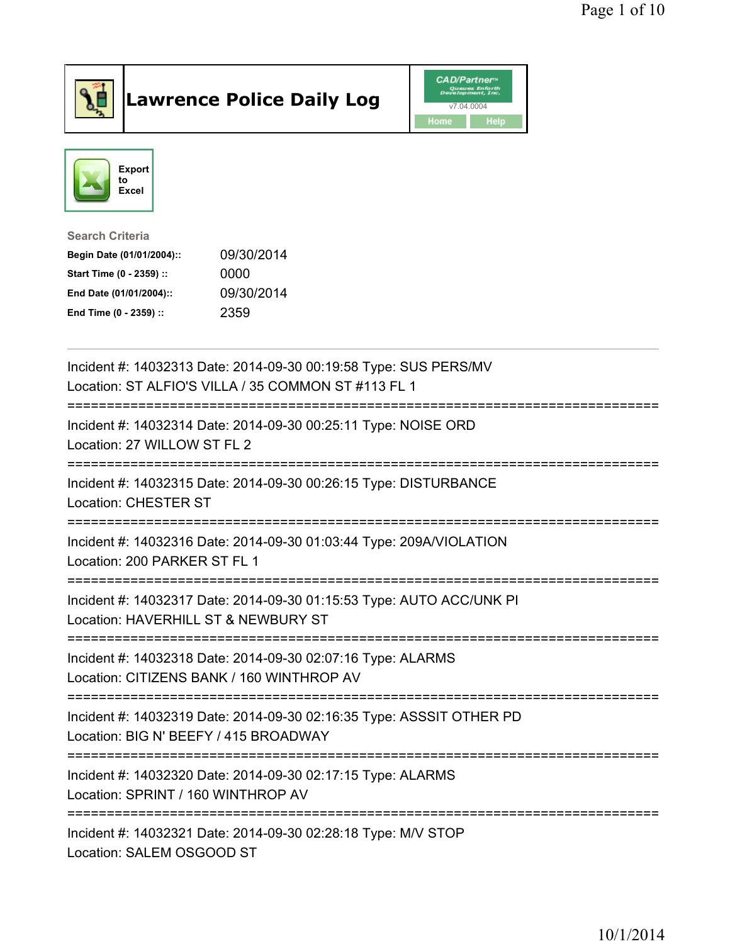

## Lawrence Police Daily Log **CAD/Partner**





Search Criteria Begin Date (01/01/2004):: 09/30/2014 Start Time (0 - 2359) :: 0000 End Date (01/01/2004):: 09/30/2014 End Time (0 - 2359) :: 2359

| Incident #: 14032313 Date: 2014-09-30 00:19:58 Type: SUS PERS/MV<br>Location: ST ALFIO'S VILLA / 35 COMMON ST #113 FL 1                      |
|----------------------------------------------------------------------------------------------------------------------------------------------|
| Incident #: 14032314 Date: 2014-09-30 00:25:11 Type: NOISE ORD<br>Location: 27 WILLOW ST FL 2<br><u> :====================</u>               |
| Incident #: 14032315 Date: 2014-09-30 00:26:15 Type: DISTURBANCE<br><b>Location: CHESTER ST</b>                                              |
| Incident #: 14032316 Date: 2014-09-30 01:03:44 Type: 209A/VIOLATION<br>Location: 200 PARKER ST FL 1                                          |
| Incident #: 14032317 Date: 2014-09-30 01:15:53 Type: AUTO ACC/UNK PI<br>Location: HAVERHILL ST & NEWBURY ST                                  |
| Incident #: 14032318 Date: 2014-09-30 02:07:16 Type: ALARMS<br>Location: CITIZENS BANK / 160 WINTHROP AV                                     |
| Incident #: 14032319 Date: 2014-09-30 02:16:35 Type: ASSSIT OTHER PD<br>Location: BIG N' BEEFY / 415 BROADWAY<br>:========================== |
| Incident #: 14032320 Date: 2014-09-30 02:17:15 Type: ALARMS<br>Location: SPRINT / 160 WINTHROP AV                                            |
| Incident #: 14032321 Date: 2014-09-30 02:28:18 Type: M/V STOP<br>Location: SALEM OSGOOD ST                                                   |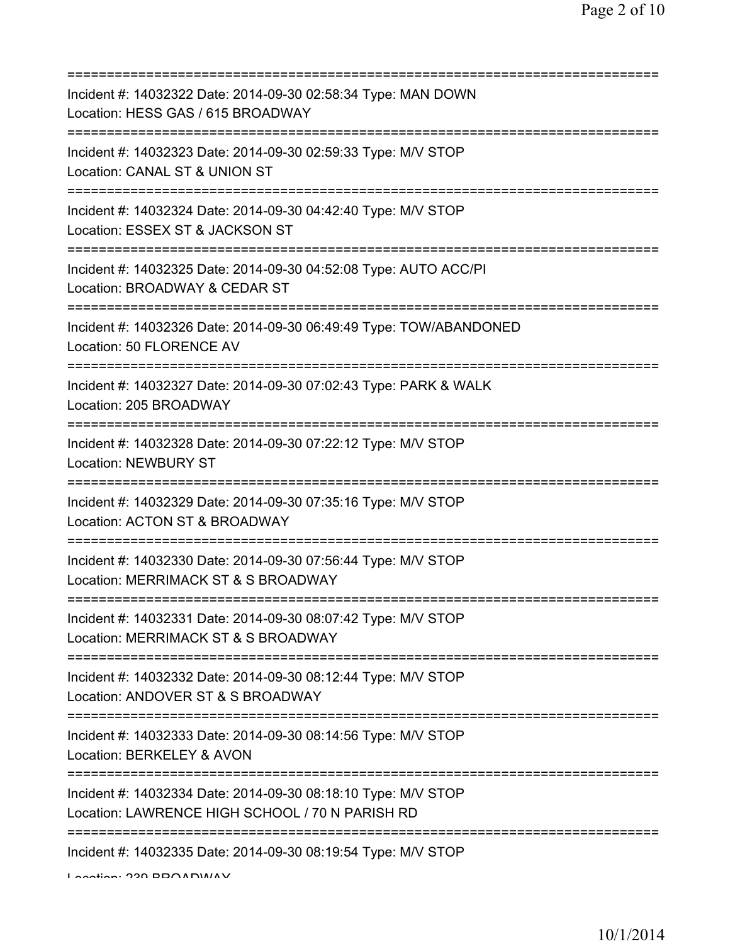| Incident #: 14032322 Date: 2014-09-30 02:58:34 Type: MAN DOWN<br>Location: HESS GAS / 615 BROADWAY<br>============================ |
|------------------------------------------------------------------------------------------------------------------------------------|
| Incident #: 14032323 Date: 2014-09-30 02:59:33 Type: M/V STOP<br>Location: CANAL ST & UNION ST                                     |
| Incident #: 14032324 Date: 2014-09-30 04:42:40 Type: M/V STOP<br>Location: ESSEX ST & JACKSON ST<br>==========================     |
| Incident #: 14032325 Date: 2014-09-30 04:52:08 Type: AUTO ACC/PI<br>Location: BROADWAY & CEDAR ST                                  |
| Incident #: 14032326 Date: 2014-09-30 06:49:49 Type: TOW/ABANDONED<br>Location: 50 FLORENCE AV                                     |
| Incident #: 14032327 Date: 2014-09-30 07:02:43 Type: PARK & WALK<br>Location: 205 BROADWAY<br>;==================================  |
| Incident #: 14032328 Date: 2014-09-30 07:22:12 Type: M/V STOP<br><b>Location: NEWBURY ST</b>                                       |
| Incident #: 14032329 Date: 2014-09-30 07:35:16 Type: M/V STOP<br>Location: ACTON ST & BROADWAY                                     |
| Incident #: 14032330 Date: 2014-09-30 07:56:44 Type: M/V STOP<br>Location: MERRIMACK ST & S BROADWAY                               |
| Incident #: 14032331 Date: 2014-09-30 08:07:42 Type: M/V STOP<br>Location: MERRIMACK ST & S BROADWAY                               |
| Incident #: 14032332 Date: 2014-09-30 08:12:44 Type: M/V STOP<br>Location: ANDOVER ST & S BROADWAY                                 |
| Incident #: 14032333 Date: 2014-09-30 08:14:56 Type: M/V STOP<br>Location: BERKELEY & AVON                                         |
| Incident #: 14032334 Date: 2014-09-30 08:18:10 Type: M/V STOP<br>Location: LAWRENCE HIGH SCHOOL / 70 N PARISH RD                   |
| ================<br>Incident #: 14032335 Date: 2014-09-30 08:19:54 Type: M/V STOP                                                  |

Location: 239 BROADWAY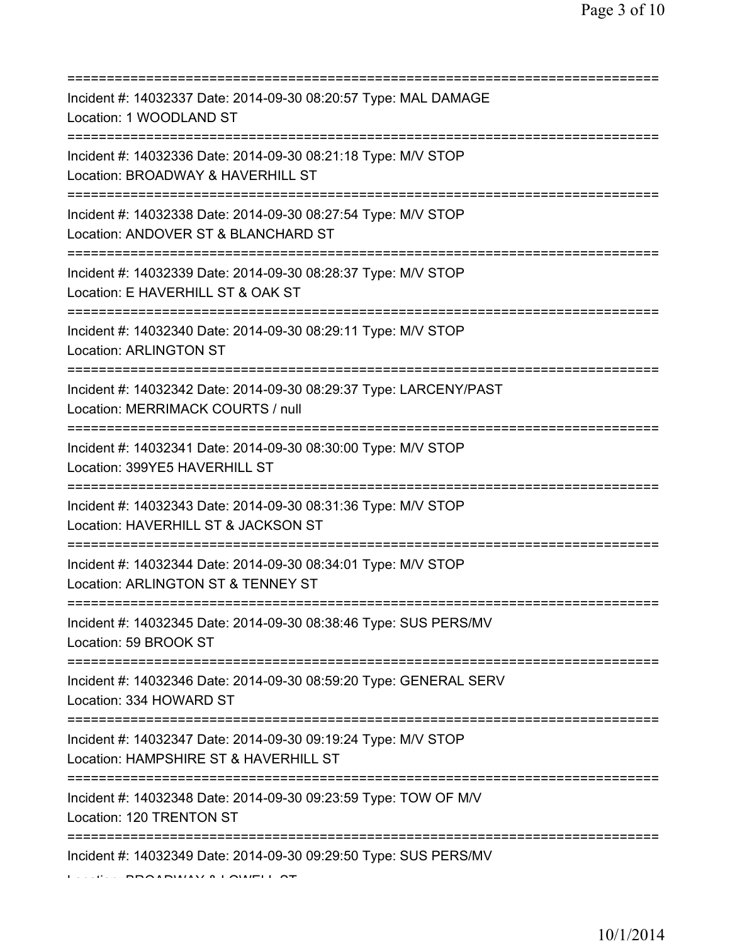| Incident #: 14032337 Date: 2014-09-30 08:20:57 Type: MAL DAMAGE<br>Location: 1 WOODLAND ST                                               |
|------------------------------------------------------------------------------------------------------------------------------------------|
| Incident #: 14032336 Date: 2014-09-30 08:21:18 Type: M/V STOP<br>Location: BROADWAY & HAVERHILL ST                                       |
| Incident #: 14032338 Date: 2014-09-30 08:27:54 Type: M/V STOP<br>Location: ANDOVER ST & BLANCHARD ST<br>================================ |
| Incident #: 14032339 Date: 2014-09-30 08:28:37 Type: M/V STOP<br>Location: E HAVERHILL ST & OAK ST                                       |
| Incident #: 14032340 Date: 2014-09-30 08:29:11 Type: M/V STOP<br><b>Location: ARLINGTON ST</b>                                           |
| Incident #: 14032342 Date: 2014-09-30 08:29:37 Type: LARCENY/PAST<br>Location: MERRIMACK COURTS / null                                   |
| Incident #: 14032341 Date: 2014-09-30 08:30:00 Type: M/V STOP<br>Location: 399YE5 HAVERHILL ST<br>====================================== |
| Incident #: 14032343 Date: 2014-09-30 08:31:36 Type: M/V STOP<br>Location: HAVERHILL ST & JACKSON ST                                     |
| Incident #: 14032344 Date: 2014-09-30 08:34:01 Type: M/V STOP<br>Location: ARLINGTON ST & TENNEY ST                                      |
| Incident #: 14032345 Date: 2014-09-30 08:38:46 Type: SUS PERS/MV<br>Location: 59 BROOK ST                                                |
| Incident #: 14032346 Date: 2014-09-30 08:59:20 Type: GENERAL SERV<br>Location: 334 HOWARD ST                                             |
| Incident #: 14032347 Date: 2014-09-30 09:19:24 Type: M/V STOP<br>Location: HAMPSHIRE ST & HAVERHILL ST                                   |
| ===========================<br>Incident #: 14032348 Date: 2014-09-30 09:23:59 Type: TOW OF M/V<br>Location: 120 TRENTON ST               |
| Incident #: 14032349 Date: 2014-09-30 09:29:50 Type: SUS PERS/MV                                                                         |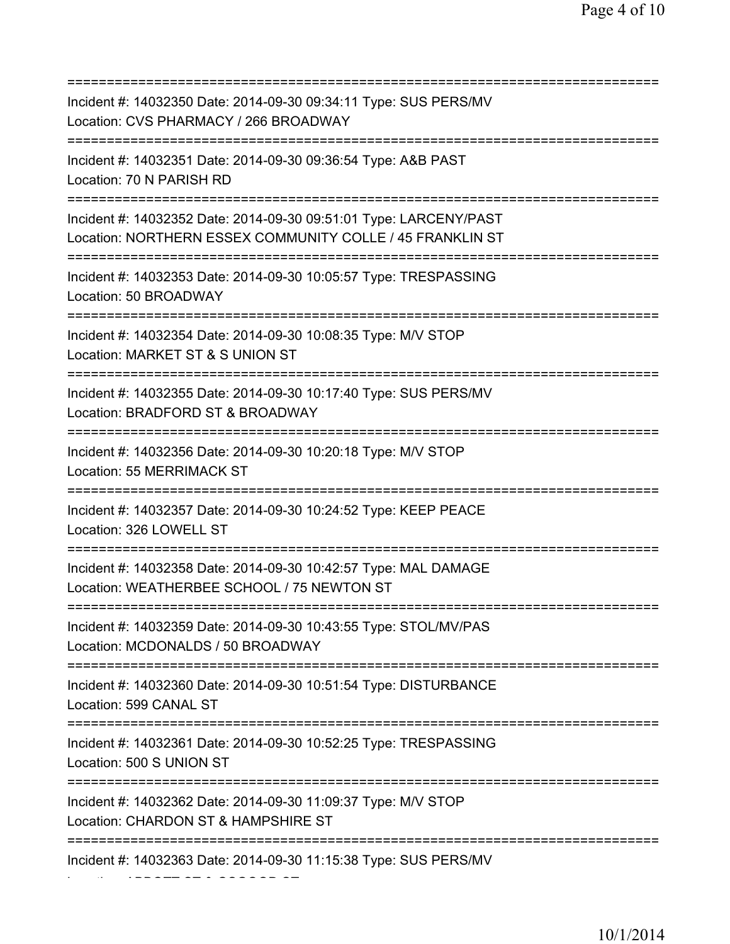=========================================================================== Incident #: 14032350 Date: 2014-09-30 09:34:11 Type: SUS PERS/MV Location: CVS PHARMACY / 266 BROADWAY =========================================================================== Incident #: 14032351 Date: 2014-09-30 09:36:54 Type: A&B PAST Location: 70 N PARISH RD =========================================================================== Incident #: 14032352 Date: 2014-09-30 09:51:01 Type: LARCENY/PAST Location: NORTHERN ESSEX COMMUNITY COLLE / 45 FRANKLIN ST =========================================================================== Incident #: 14032353 Date: 2014-09-30 10:05:57 Type: TRESPASSING Location: 50 BROADWAY =========================================================================== Incident #: 14032354 Date: 2014-09-30 10:08:35 Type: M/V STOP Location: MARKET ST & S UNION ST =========================================================================== Incident #: 14032355 Date: 2014-09-30 10:17:40 Type: SUS PERS/MV Location: BRADFORD ST & BROADWAY =========================================================================== Incident #: 14032356 Date: 2014-09-30 10:20:18 Type: M/V STOP Location: 55 MERRIMACK ST =========================================================================== Incident #: 14032357 Date: 2014-09-30 10:24:52 Type: KEEP PEACE Location: 326 LOWELL ST =========================================================================== Incident #: 14032358 Date: 2014-09-30 10:42:57 Type: MAL DAMAGE Location: WEATHERBEE SCHOOL / 75 NEWTON ST =========================================================================== Incident #: 14032359 Date: 2014-09-30 10:43:55 Type: STOL/MV/PAS Location: MCDONALDS / 50 BROADWAY =========================================================================== Incident #: 14032360 Date: 2014-09-30 10:51:54 Type: DISTURBANCE Location: 599 CANAL ST =========================================================================== Incident #: 14032361 Date: 2014-09-30 10:52:25 Type: TRESPASSING Location: 500 S UNION ST =========================================================================== Incident #: 14032362 Date: 2014-09-30 11:09:37 Type: M/V STOP Location: CHARDON ST & HAMPSHIRE ST =========================================================================== Incident #: 14032363 Date: 2014-09-30 11:15:38 Type: SUS PERS/MV

Location: ABBOTT ST & OSGOOD ST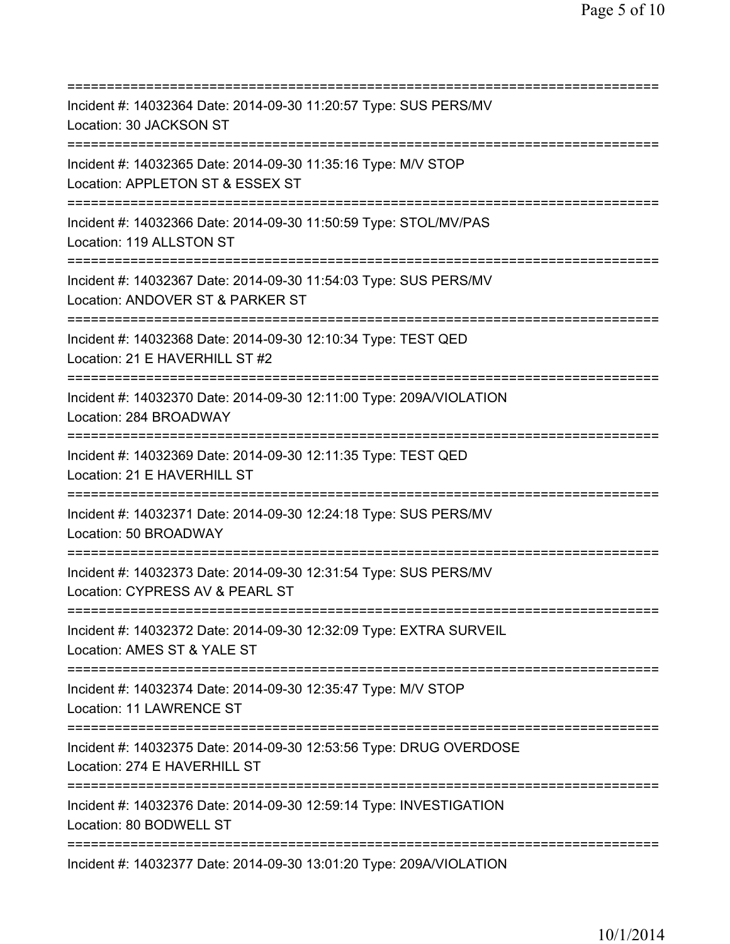| Incident #: 14032364 Date: 2014-09-30 11:20:57 Type: SUS PERS/MV<br>Location: 30 JACKSON ST                                                   |
|-----------------------------------------------------------------------------------------------------------------------------------------------|
| Incident #: 14032365 Date: 2014-09-30 11:35:16 Type: M/V STOP<br>Location: APPLETON ST & ESSEX ST                                             |
| Incident #: 14032366 Date: 2014-09-30 11:50:59 Type: STOL/MV/PAS<br>Location: 119 ALLSTON ST                                                  |
| Incident #: 14032367 Date: 2014-09-30 11:54:03 Type: SUS PERS/MV<br>Location: ANDOVER ST & PARKER ST<br>===================================== |
| Incident #: 14032368 Date: 2014-09-30 12:10:34 Type: TEST QED<br>Location: 21 E HAVERHILL ST #2<br>================================           |
| Incident #: 14032370 Date: 2014-09-30 12:11:00 Type: 209A/VIOLATION<br>Location: 284 BROADWAY                                                 |
| Incident #: 14032369 Date: 2014-09-30 12:11:35 Type: TEST QED<br>Location: 21 E HAVERHILL ST                                                  |
| Incident #: 14032371 Date: 2014-09-30 12:24:18 Type: SUS PERS/MV<br>Location: 50 BROADWAY<br>================================                 |
| Incident #: 14032373 Date: 2014-09-30 12:31:54 Type: SUS PERS/MV<br>Location: CYPRESS AV & PEARL ST                                           |
| Incident #: 14032372 Date: 2014-09-30 12:32:09 Type: EXTRA SURVEIL<br>Location: AMES ST & YALE ST                                             |
| Incident #: 14032374 Date: 2014-09-30 12:35:47 Type: M/V STOP<br>Location: 11 LAWRENCE ST                                                     |
| Incident #: 14032375 Date: 2014-09-30 12:53:56 Type: DRUG OVERDOSE<br>Location: 274 E HAVERHILL ST<br>=====================================   |
| Incident #: 14032376 Date: 2014-09-30 12:59:14 Type: INVESTIGATION<br>Location: 80 BODWELL ST                                                 |
| Incident #: 14032377 Date: 2014-09-30 13:01:20 Type: 209A/VIOLATION                                                                           |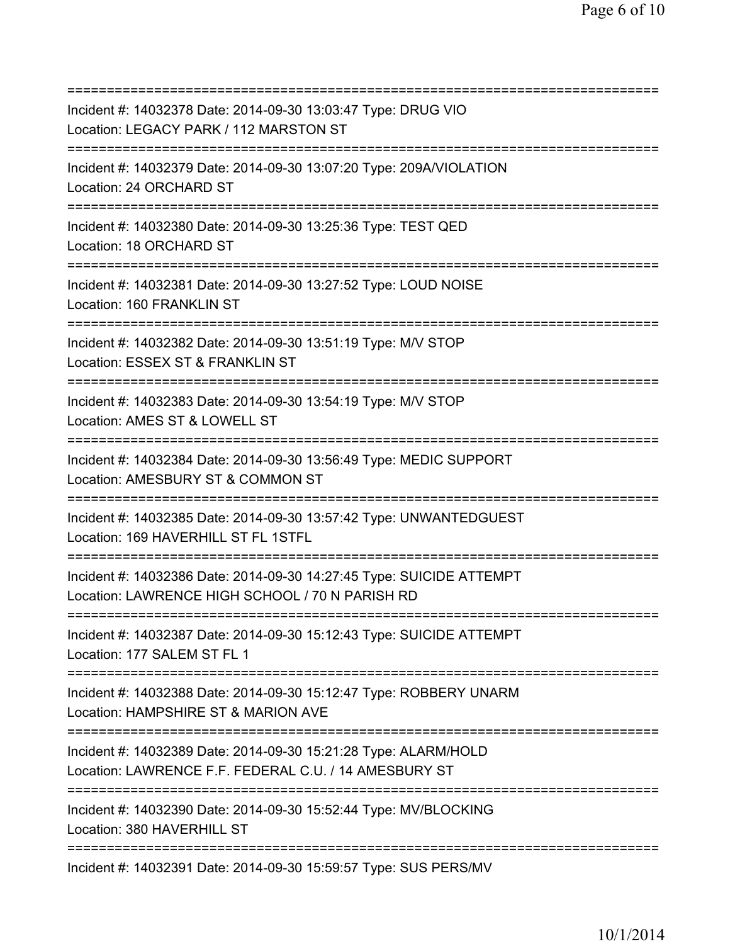=========================================================================== Incident #: 14032378 Date: 2014-09-30 13:03:47 Type: DRUG VIO Location: LEGACY PARK / 112 MARSTON ST =========================================================================== Incident #: 14032379 Date: 2014-09-30 13:07:20 Type: 209A/VIOLATION Location: 24 ORCHARD ST =========================================================================== Incident #: 14032380 Date: 2014-09-30 13:25:36 Type: TEST QED Location: 18 ORCHARD ST =========================================================================== Incident #: 14032381 Date: 2014-09-30 13:27:52 Type: LOUD NOISE Location: 160 FRANKLIN ST =========================================================================== Incident #: 14032382 Date: 2014-09-30 13:51:19 Type: M/V STOP Location: ESSEX ST & FRANKLIN ST =========================================================================== Incident #: 14032383 Date: 2014-09-30 13:54:19 Type: M/V STOP Location: AMES ST & LOWELL ST =========================================================================== Incident #: 14032384 Date: 2014-09-30 13:56:49 Type: MEDIC SUPPORT Location: AMESBURY ST & COMMON ST =========================================================================== Incident #: 14032385 Date: 2014-09-30 13:57:42 Type: UNWANTEDGUEST Location: 169 HAVERHILL ST FL 1STFL =========================================================================== Incident #: 14032386 Date: 2014-09-30 14:27:45 Type: SUICIDE ATTEMPT Location: LAWRENCE HIGH SCHOOL / 70 N PARISH RD =========================================================================== Incident #: 14032387 Date: 2014-09-30 15:12:43 Type: SUICIDE ATTEMPT Location: 177 SALEM ST FL 1 =========================================================================== Incident #: 14032388 Date: 2014-09-30 15:12:47 Type: ROBBERY UNARM Location: HAMPSHIRE ST & MARION AVE =========================================================================== Incident #: 14032389 Date: 2014-09-30 15:21:28 Type: ALARM/HOLD Location: LAWRENCE F.F. FEDERAL C.U. / 14 AMESBURY ST =========================================================================== Incident #: 14032390 Date: 2014-09-30 15:52:44 Type: MV/BLOCKING Location: 380 HAVERHILL ST =========================================================================== Incident #: 14032391 Date: 2014-09-30 15:59:57 Type: SUS PERS/MV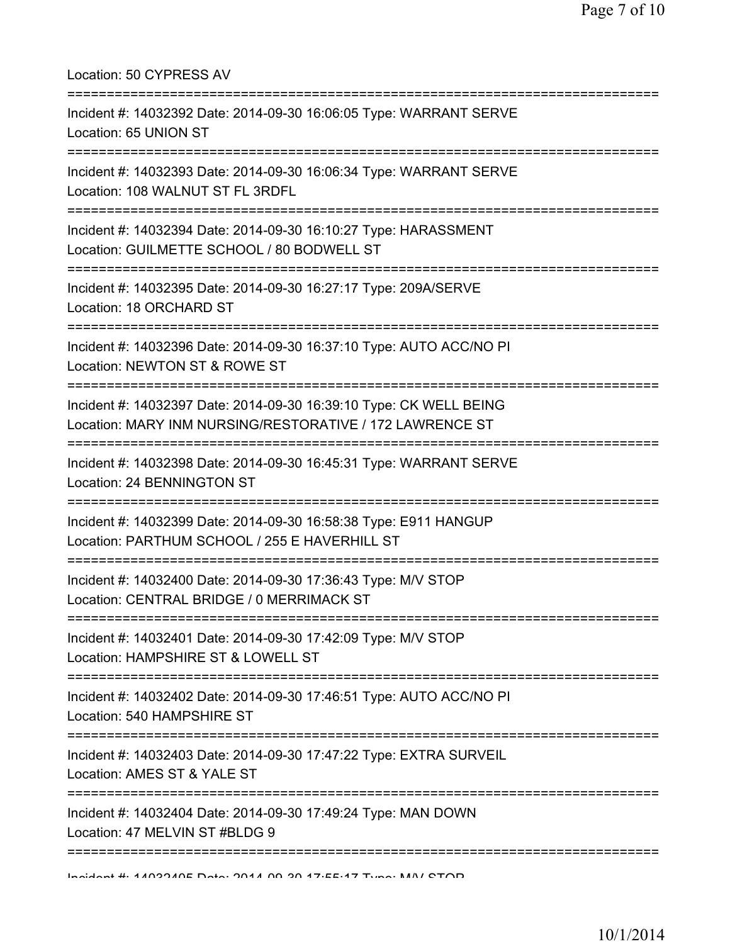| Location: 50 CYPRESS AV                                                                                                        |
|--------------------------------------------------------------------------------------------------------------------------------|
| Incident #: 14032392 Date: 2014-09-30 16:06:05 Type: WARRANT SERVE<br>Location: 65 UNION ST                                    |
| Incident #: 14032393 Date: 2014-09-30 16:06:34 Type: WARRANT SERVE<br>Location: 108 WALNUT ST FL 3RDFL                         |
| Incident #: 14032394 Date: 2014-09-30 16:10:27 Type: HARASSMENT<br>Location: GUILMETTE SCHOOL / 80 BODWELL ST                  |
| Incident #: 14032395 Date: 2014-09-30 16:27:17 Type: 209A/SERVE<br>Location: 18 ORCHARD ST                                     |
| Incident #: 14032396 Date: 2014-09-30 16:37:10 Type: AUTO ACC/NO PI<br>Location: NEWTON ST & ROWE ST                           |
| Incident #: 14032397 Date: 2014-09-30 16:39:10 Type: CK WELL BEING<br>Location: MARY INM NURSING/RESTORATIVE / 172 LAWRENCE ST |
| Incident #: 14032398 Date: 2014-09-30 16:45:31 Type: WARRANT SERVE<br>Location: 24 BENNINGTON ST                               |
| Incident #: 14032399 Date: 2014-09-30 16:58:38 Type: E911 HANGUP<br>Location: PARTHUM SCHOOL / 255 E HAVERHILL ST              |
| Incident #: 14032400 Date: 2014-09-30 17:36:43 Type: M/V STOP<br>Location: CENTRAL BRIDGE / 0 MERRIMACK ST                     |
| Incident #: 14032401 Date: 2014-09-30 17:42:09 Type: M/V STOP<br>Location: HAMPSHIRE ST & LOWELL ST                            |
| Incident #: 14032402 Date: 2014-09-30 17:46:51 Type: AUTO ACC/NO PI<br>Location: 540 HAMPSHIRE ST                              |
| Incident #: 14032403 Date: 2014-09-30 17:47:22 Type: EXTRA SURVEIL<br>Location: AMES ST & YALE ST                              |
| Incident #: 14032404 Date: 2014-09-30 17:49:24 Type: MAN DOWN<br>Location: 47 MELVIN ST #BLDG 9                                |
| Incident #: 4409940E Data: 9044 00.90.47.EE.47 Tune: MAN/ CTOD                                                                 |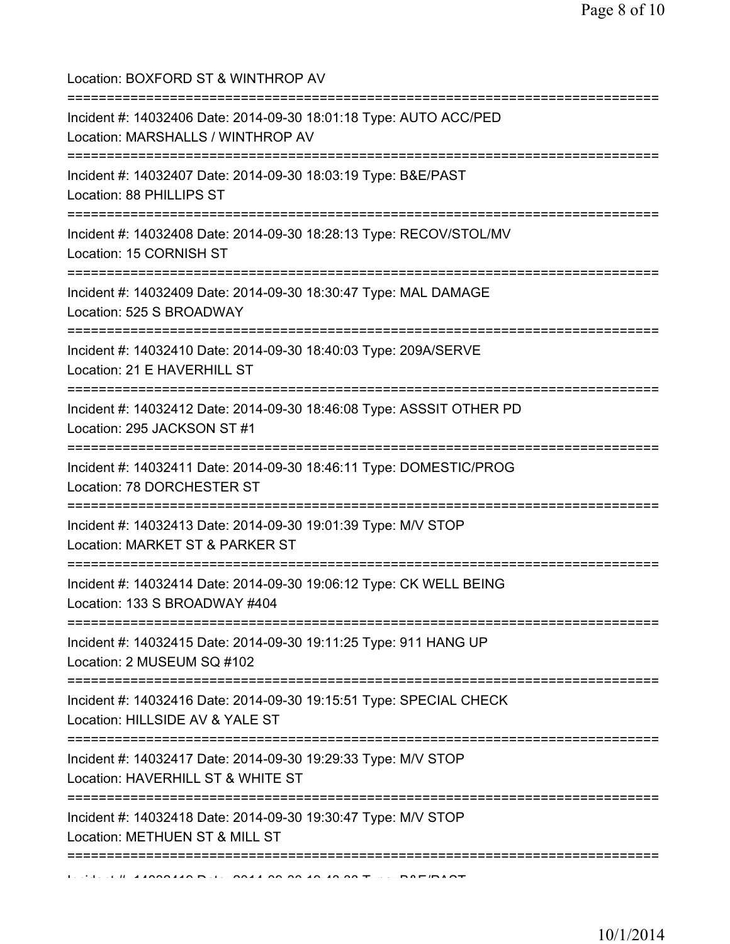| Location: BOXFORD ST & WINTHROP AV                                                                     |
|--------------------------------------------------------------------------------------------------------|
| Incident #: 14032406 Date: 2014-09-30 18:01:18 Type: AUTO ACC/PED<br>Location: MARSHALLS / WINTHROP AV |
| Incident #: 14032407 Date: 2014-09-30 18:03:19 Type: B&E/PAST<br>Location: 88 PHILLIPS ST              |
| Incident #: 14032408 Date: 2014-09-30 18:28:13 Type: RECOV/STOL/MV<br>Location: 15 CORNISH ST          |
| Incident #: 14032409 Date: 2014-09-30 18:30:47 Type: MAL DAMAGE<br>Location: 525 S BROADWAY            |
| Incident #: 14032410 Date: 2014-09-30 18:40:03 Type: 209A/SERVE<br>Location: 21 E HAVERHILL ST         |
| Incident #: 14032412 Date: 2014-09-30 18:46:08 Type: ASSSIT OTHER PD<br>Location: 295 JACKSON ST #1    |
| Incident #: 14032411 Date: 2014-09-30 18:46:11 Type: DOMESTIC/PROG<br>Location: 78 DORCHESTER ST       |
| Incident #: 14032413 Date: 2014-09-30 19:01:39 Type: M/V STOP<br>Location: MARKET ST & PARKER ST       |
| Incident #: 14032414 Date: 2014-09-30 19:06:12 Type: CK WELL BEING<br>Location: 133 S BROADWAY #404    |
| Incident #: 14032415 Date: 2014-09-30 19:11:25 Type: 911 HANG UP<br>Location: 2 MUSEUM SQ #102         |
| Incident #: 14032416 Date: 2014-09-30 19:15:51 Type: SPECIAL CHECK<br>Location: HILLSIDE AV & YALE ST  |
| Incident #: 14032417 Date: 2014-09-30 19:29:33 Type: M/V STOP<br>Location: HAVERHILL ST & WHITE ST     |
| Incident #: 14032418 Date: 2014-09-30 19:30:47 Type: M/V STOP<br>Location: METHUEN ST & MILL ST        |
|                                                                                                        |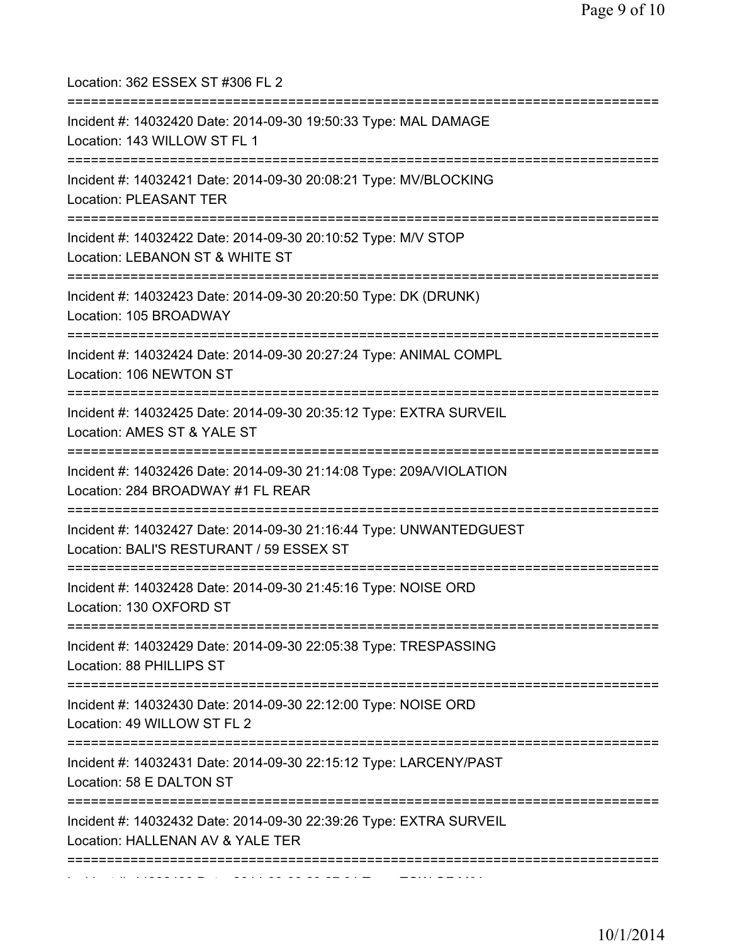| Location: 362 ESSEX ST #306 FL 2<br>======================================                                                             |
|----------------------------------------------------------------------------------------------------------------------------------------|
| Incident #: 14032420 Date: 2014-09-30 19:50:33 Type: MAL DAMAGE<br>Location: 143 WILLOW ST FL 1<br>=================================== |
| Incident #: 14032421 Date: 2014-09-30 20:08:21 Type: MV/BLOCKING<br>Location: PLEASANT TER                                             |
| Incident #: 14032422 Date: 2014-09-30 20:10:52 Type: M/V STOP<br>Location: LEBANON ST & WHITE ST<br>===========                        |
| Incident #: 14032423 Date: 2014-09-30 20:20:50 Type: DK (DRUNK)<br>Location: 105 BROADWAY                                              |
| Incident #: 14032424 Date: 2014-09-30 20:27:24 Type: ANIMAL COMPL<br>Location: 106 NEWTON ST                                           |
| Incident #: 14032425 Date: 2014-09-30 20:35:12 Type: EXTRA SURVEIL<br>Location: AMES ST & YALE ST                                      |
| Incident #: 14032426 Date: 2014-09-30 21:14:08 Type: 209A/VIOLATION<br>Location: 284 BROADWAY #1 FL REAR                               |
| Incident #: 14032427 Date: 2014-09-30 21:16:44 Type: UNWANTEDGUEST<br>Location: BALI'S RESTURANT / 59 ESSEX ST                         |
| Incident #: 14032428 Date: 2014-09-30 21:45:16 Type: NOISE ORD<br>Location: 130 OXFORD ST                                              |
| Incident #: 14032429 Date: 2014-09-30 22:05:38 Type: TRESPASSING<br>Location: 88 PHILLIPS ST                                           |
| -=================================<br>Incident #: 14032430 Date: 2014-09-30 22:12:00 Type: NOISE ORD<br>Location: 49 WILLOW ST FL 2    |
| Incident #: 14032431 Date: 2014-09-30 22:15:12 Type: LARCENY/PAST<br>Location: 58 E DALTON ST                                          |
| Incident #: 14032432 Date: 2014-09-30 22:39:26 Type: EXTRA SURVEIL<br>Location: HALLENAN AV & YALE TER                                 |
|                                                                                                                                        |